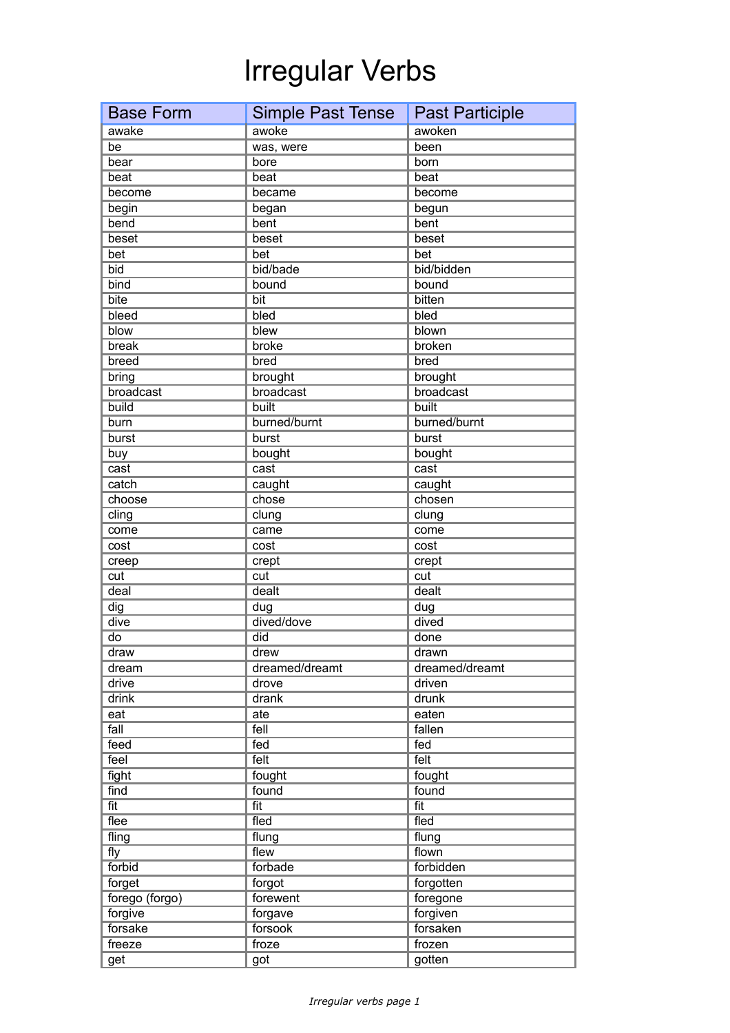## Irregular Verbs

| <b>Base Form</b>   | Simple Past Tense  | <b>Past Participle</b> |
|--------------------|--------------------|------------------------|
| awake              | awoke              | awoken                 |
| be                 | was, were          | been                   |
| bear               | bore               | born                   |
| beat               | beat               | beat                   |
| become             | became             | become                 |
| begin              | began              | begun                  |
| bend               | bent               | bent                   |
| beset              | beset              | beset                  |
| bet                | bet                | bet                    |
| bid                | bid/bade           | bid/bidden             |
| bind               | bound              | bound                  |
| bite               | bit                | bitten                 |
| bleed              | bled               | bled                   |
| blow               | blew               | blown                  |
| break              | broke              | broken                 |
| breed              | bred               | bred                   |
| bring              | brought            | brought                |
| broadcast          | broadcast          | broadcast              |
| build              | built              | built                  |
| burn               | burned/burnt       | burned/burnt           |
| burst              | burst              | burst                  |
| buy                | bought             | bought                 |
| cast               | cast               | cast                   |
| catch              | caught             | caught                 |
| choose             | chose              | chosen                 |
| cling              | clung              | clung                  |
| come               | came               | come                   |
| cost               | cost               | cost                   |
| creep              | crept              | crept                  |
| cut                | cut                | cut                    |
| deal               | dealt              | dealt                  |
| dig                | dug                | dug                    |
| dive               | dived/dove         | dived                  |
| do                 | did                | done                   |
| draw               | drew               | drawn                  |
| dream              | dreamed/dreamt     | dreamed/dreamt         |
| drive              | drove              | driven                 |
| drink              | drank              | drunk                  |
| eat                | ate                | eaten                  |
| fall               | fell               | fallen                 |
| feed               | fed                | fed                    |
| feel               | felt               | felt                   |
| fight              | fought             | fought                 |
| find               | found              | found                  |
| fit                | fit                | fit                    |
| flee               | fled               | fled                   |
| fling              | flung              | flung                  |
| fly<br>forbid      | flew<br>forbade    | flown                  |
|                    |                    | forbidden              |
| forget             | forgot<br>forewent | forgotten              |
| forego (forgo)     | forgave            | foregone               |
| forgive<br>forsake | forsook            | forgiven<br>forsaken   |
|                    | froze              | frozen                 |
| freeze             |                    |                        |
| get                | got                | gotten                 |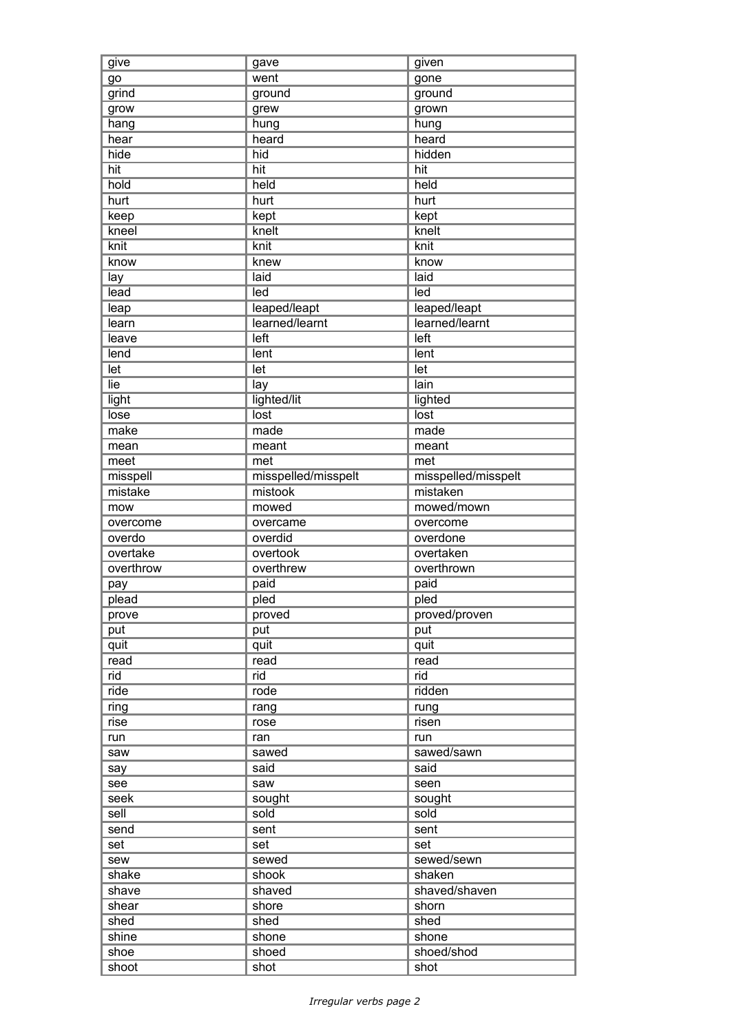| give          | gave                | given               |
|---------------|---------------------|---------------------|
| go            | went                | gone                |
| grind         | ground              | ground              |
| grow          | grew                | grown               |
| hang          | hung                | hung                |
| hear          | heard               | heard               |
| hide          | hid                 | hidden              |
| hit           | hit                 | hit                 |
| hold          | held                | held                |
| hurt          | hurt                | hurt                |
| keep          | kept                | kept                |
| kneel         | knelt               | knelt               |
| $k$ nit       | knit                | knit                |
| know          | knew                | know                |
| lay           | laid                | laid                |
| lead          | led                 | led                 |
| leap          | leaped/leapt        | leaped/leapt        |
| learn         | learned/learnt      | learned/learnt      |
| leave         | left                | left                |
| lend          | lent                | lent                |
|               |                     |                     |
| let           | let                 | let                 |
| lie           | lay                 | lain                |
| light         | lighted/lit         | lighted             |
| lose          | lost                | lost                |
| make          | made                | made                |
| mean          | meant               | meant               |
| meet          | met                 | met                 |
| misspell      | misspelled/misspelt | misspelled/misspelt |
| mistake       | mistook             | mistaken            |
| mow           | mowed               | mowed/mown          |
| overcome      | overcame            | overcome            |
|               |                     |                     |
| overdo        | overdid             | overdone            |
| overtake      | overtook            | overtaken           |
| overthrow     | overthrew           | overthrown          |
| pay           | paid                | paid                |
| plead         | pled                | pled                |
| prove         | proved              | proved/proven       |
| put           | put                 | put                 |
| quit          | quit                | quit                |
| read          | read                | read                |
| rid           | rid                 | rid                 |
| ride          | rode                | ridden              |
| ring          | rang                | rung                |
| rise          | rose                | risen               |
| run           | ran                 | run                 |
| saw           | sawed               | sawed/sawn          |
| say           | said                | said                |
| see           | saw                 | seen                |
| seek          | sought              | sought              |
| sell          | sold                | sold                |
| send          | sent                | sent                |
| set           | set                 | set                 |
| sew           | sewed               | sewed/sewn          |
| shake         | shook               | shaken              |
| shave         | shaved              | shaved/shaven       |
| shear         | shore               | shorn               |
|               | shed                | shed                |
| shed<br>shine | shone               | shone               |
| shoe          | shoed               | shoed/shod          |
| shoot         | shot                | shot                |